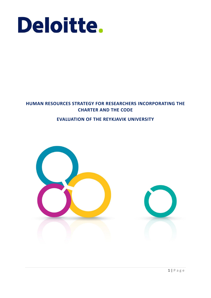

# **HUMAN RESOURCES STRATEGY FOR RESEARCHERS INCORPORATING THE CHARTER AND THE CODE**

## **EVALUATION OF THE REYKJAVIK UNIVERSITY**

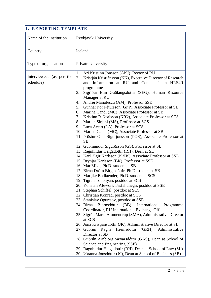| 1. REPORTING TEMPLATE                 |                                                                                                                                                                                                                                                                                                                                                                                                                                                                                                                                                                                                                                                                                                                                                                                                                                                                                                                                                                                                                                                                                                                                                                                                                                                                                                                                                                                                                                                                                                                                                                                                                                                                                                                                                                                                                                                                                |
|---------------------------------------|--------------------------------------------------------------------------------------------------------------------------------------------------------------------------------------------------------------------------------------------------------------------------------------------------------------------------------------------------------------------------------------------------------------------------------------------------------------------------------------------------------------------------------------------------------------------------------------------------------------------------------------------------------------------------------------------------------------------------------------------------------------------------------------------------------------------------------------------------------------------------------------------------------------------------------------------------------------------------------------------------------------------------------------------------------------------------------------------------------------------------------------------------------------------------------------------------------------------------------------------------------------------------------------------------------------------------------------------------------------------------------------------------------------------------------------------------------------------------------------------------------------------------------------------------------------------------------------------------------------------------------------------------------------------------------------------------------------------------------------------------------------------------------------------------------------------------------------------------------------------------------|
| Name of the institution               | Reykjavik University                                                                                                                                                                                                                                                                                                                                                                                                                                                                                                                                                                                                                                                                                                                                                                                                                                                                                                                                                                                                                                                                                                                                                                                                                                                                                                                                                                                                                                                                                                                                                                                                                                                                                                                                                                                                                                                           |
| Country                               | Iceland                                                                                                                                                                                                                                                                                                                                                                                                                                                                                                                                                                                                                                                                                                                                                                                                                                                                                                                                                                                                                                                                                                                                                                                                                                                                                                                                                                                                                                                                                                                                                                                                                                                                                                                                                                                                                                                                        |
| Type of organisation                  | Private University                                                                                                                                                                                                                                                                                                                                                                                                                                                                                                                                                                                                                                                                                                                                                                                                                                                                                                                                                                                                                                                                                                                                                                                                                                                                                                                                                                                                                                                                                                                                                                                                                                                                                                                                                                                                                                                             |
| Interviewees (as per the<br>schedule) | Ari Kristinn Jónsson (AKJ), Rector of RU<br>1.<br>2.<br>Kristján Kristjánsson (KK), Executive Director of Research<br>and Information at RU and Contact 1 in HRS4R<br>programme<br>3.<br>Sigríður Elín Guðlaugsdóttir (SEG), Human Resource<br>Manager at RU<br>Andrei Manolescu (AM), Professor SSE<br>4.<br>Gunnar Þór Pétursson (GÞP), Associate Professor at SL<br>5.<br>Marina Candi (MC), Associate Professor at SB<br>6.<br>Kristinn R. Þórisson (KRÞ), Associate Professor at SCS<br>7.<br>Marjan Sirjani (MS), Professor at SCS<br>8.<br>Luca Aceto (LA), Professor at SCS<br>9.<br>10. Marina Candi (MC), Associate Professor at SB<br>11. Þröstur Olaf Sigurjónsson (ÞOS), Associate Professor at<br><b>SB</b><br>12. Guðmundur Sigurðsson (GS), Professor at SL<br>13. Ragnhildur Helgadóttir (RH), Dean at SL<br>14. Karl Ægir Karlsson (KÆK), Associate Professor at SSE<br>15. Brynjar Karlsson (BK), Professor at SSE<br>16. Már Mixa, Ph.D. student at SB<br>17. Birna Dröfn Birgisdóttir, Ph.D. student at SB<br>18. Marijke Bodlaender, Ph.D. student at SCS<br>19. Tigran Tononyan, postdoc at SCS<br>20. Yonatan Afework Tesfahunegn, postdoc at SSE<br>21. Stephan Schiffel, postdoc at SCS<br>22. Christian Konrad, postdoc at SCS<br>23. Stanislav Ogurtsov, postdoc at SSE<br>24. Birna<br>Björnsdóttir<br>$(BB)$ ,<br>International<br>Programme<br>Coordinator, RU International Exchange Office<br>25. Sigrún María Ammendrup (SMA), Administrative Director<br>at SCS<br>26. Jóna Kristjánsdóttir (JK), Administrative Director at SL<br>27. Guðrún Ragna<br>Hreinsdóttir (GRH),<br>Administrative<br>Director at SB<br>28. Guðrún Arnbjörg Sævarsdóttir (GAS), Dean at School of<br>Science and Engineering (SSE)<br>29. Ragnhildur Helgadóttir (RH), Dean at School of Law (SL)<br>30. Þóranna Jónsdóttir (ÞJ), Dean at School of Business (SB) |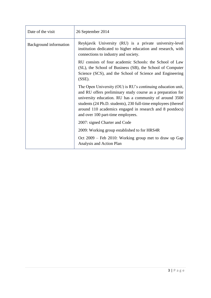| Date of the visit      | 26 September 2014                                                                                                                                                                                                                                                                                                                                        |
|------------------------|----------------------------------------------------------------------------------------------------------------------------------------------------------------------------------------------------------------------------------------------------------------------------------------------------------------------------------------------------------|
| Background information | Reykjavik University (RU) is a private university-level<br>institution dedicated to higher education and research, with<br>connections to industry and society.                                                                                                                                                                                          |
|                        | RU consists of four academic Schools: the School of Law<br>(SL), the School of Business (SB), the School of Computer<br>Science (SCS), and the School of Science and Engineering<br>$(SSE)$ .                                                                                                                                                            |
|                        | The Open University (OU) is RU's continuing education unit,<br>and RU offers preliminary study course as a preparation for<br>university education. RU has a community of around 3500<br>students (24 Ph.D. students), 230 full-time employees (thereof<br>around 110 academics engaged in research and 8 postdocs)<br>and over 100 part-time employees. |
|                        | 2007: signed Charter and Code                                                                                                                                                                                                                                                                                                                            |
|                        | 2009: Working group established to for HRS4R                                                                                                                                                                                                                                                                                                             |
|                        | Oct 2009 – Feb 2010: Working group met to draw up Gap<br>Analysis and Action Plan                                                                                                                                                                                                                                                                        |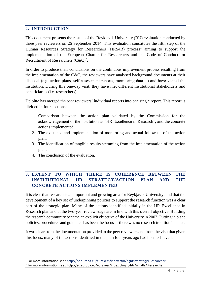#### **2. INTRODUCTION**

This document presents the results of the Reykjavik University (RU) evaluation conducted by three peer reviewers on 26 September 2014. This evaluation constitutes the fifth step of the Human Resources Strategy for Researchers (HRS4R) process<sup>1</sup> aiming to support the implementation of the European Charter for Researchers and the Code of Conduct for Recruitment of Researchers  $(C\&C)^2$ .

In order to produce their conclusions on the continuous improvement process resulting from the implementation of the C&C, the reviewers have analysed background documents at their disposal (e.g. action plans, self-assessment reports, monitoring data…) and have visited the institution. During this one-day visit, they have met different institutional stakeholders and beneficiaries (i.e. researchers).

Deloitte has merged the peer reviewers' individual reports into one single report. This report is divided in four sections:

- 1. Comparison between the action plan validated by the Commission for the acknowledgement of the institution as "HR Excellence in Research", and the concrete actions implemented;
- 2. The existence and implementation of monitoring and actual follow-up of the action plan;
- 3. The identification of tangible results stemming from the implementation of the action plan;
- 4. The conclusion of the evaluation.

1

### **3. EXTENT TO WHICH THERE IS COHERENCE BETWEEN THE INSTITUTIONAL HR STRATEGY/ACTION PLAN AND THE CONCRETE ACTIONS IMPLEMENTED**

It is clear that research is an important and growing area for Reykjavik University; and that the development of a key set of underpinning policies to support the research function was a clear part of the strategic plan. Many of the actions identified initially in the HR Excellence in Research plan and at the two-year review stage are in line with this overall objective. Building the research community became an explicit objective of the University in 2007. Putting in place policies, procedures and guidance has been the focus as there was no research tradition in place.

It was clear from the documentation provided to the peer reviewers and from the visit that given this focus, many of the actions identified in the plan four years ago had been achieved.

<sup>&</sup>lt;sup>1</sup> For more information see :<http://ec.europa.eu/euraxess/index.cfm/rights/strategy4Researcher>

<sup>&</sup>lt;sup>2</sup> For more information see : http://ec.europa.eu/euraxess/index.cfm/rights/whatIsAResearcher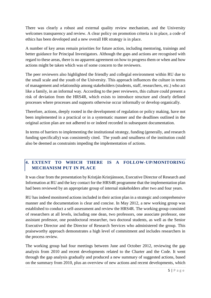There was clearly a robust and external quality review mechanism, and the University welcomes transparency and review. A clear policy on promotion criteria is in place, a code of ethics has been developed and a new overall HR strategy is in place.

A number of key areas remain priorities for future action, including mentoring, trainings and better guidance for Principal Investigators. Although the gaps and actions are recognised with regard to these areas, there is no apparent agreement on how to progress them or when and how actions might be taken which was of some concern to the reviewers.

The peer reviewers also highlighted the friendly and collegial environment within RU due to the small scale and the youth of the University. This approach influences the culture in terms of management and relationship among stakeholders (students, staff, researchers, etc.) who act like a family, in an informal way. According to the peer reviewers, this culture could present a risk of deviation from the HRS4R, which exists to introduce structure and clearly defined processes where processes and supports otherwise occur informally or develop organically.

Therefore, actions, deeply rooted in the development of regulation or policy making, have not been implemented in a practical or in a systematic manner and the deadlines outlined in the original action plan are not adhered to or indeed recorded in subsequent documentation.

In terms of barriers to implementing the institutional strategy, funding (generally, and research funding specifically) was consistently cited. The youth and smallness of the institution could also be deemed as constraints impeding the implementation of actions.

## **4. EXTENT TO WHICH THERE IS A FOLLOW-UP/MONITORING MECHANISM PUT IN PLACE**

It was clear from the presentation by Kristján Kristjánsson, Executive Director of Research and Information at RU and the key contact for the HRS4R programme that the implementation plan had been reviewed by an appropriate group of internal stakeholders after two and four years.

RU has indeed monitored actions included in their action plan in a strategic and comprehensive manner and the documentation is clear and concise. In May 2012, a new working group was established to conduct a self-assessment and review the HRS4R. The working group consisted of researchers at all levels, including one dean, two professors, one associate professor, one assistant professor, one postdoctoral researcher, two doctoral students, as well as the Senior Executive Director and the Director of Research Services who administered the group. This praiseworthy approach demonstrates a high level of commitment and includes researchers in the process review.

The working group had four meetings between June and October 2012, reviewing the gap analysis from 2010 and recent developments related to the Charter and the Code. It went through the gap analysis gradually and produced a new summary of suggested actions, based on the summary from 2010, plus an overview of new actions and recent developments, which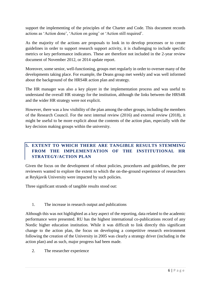support the implementing of the principles of the Charter and Code. This document records actions as 'Action done', 'Action on going' or 'Action still required'.

As the majority of the actions are proposals to look in to develop processes or to create guidelines in order to support research support activity, it is challenging to include specific metrics or key performance indicators. These are therefore not included in the 2-year review document of November 2012, or 2014 update report.

Moreover, some senior, well-functioning, groups met regularly in order to oversee many of the developments taking place. For example, the Deans group met weekly and was well informed about the background of the HRS4R action plan and strategy.

The HR manager was also a key player in the implementation process and was useful to understand the overall HR strategy for the institution, although the links between the HRS4R and the wider HR strategy were not explicit.

However, there was a low visibility of the plan among the other groups, including the members of the Research Council. For the next internal review (2016) and external review (2018), it might be useful to be more explicit about the contents of the action plan, especially with the key decision making groups within the university.

## **5. EXTENT TO WHICH THERE ARE TANGIBLE RESULTS STEMMING FROM THE IMPLEMENTATION OF THE INSTITUTIONAL HR STRATEGY/ACTION PLAN**

Given the focus on the development of robust policies, procedures and guidelines, the peer reviewers wanted to explore the extent to which the on-the-ground experience of researchers at Reykjavik University were impacted by such policies.

Three significant strands of tangible results stood out:

## 1. The increase in research output and publications

Although this was not highlighted as a key aspect of the reporting, data related to the academic performance were presented. RU has the highest international co-publications record of any Nordic higher education institution. While it was difficult to link directly this significant change to the action plan, the focus on developing a competitive research environment following the creation of the University in 2005 was clearly a strategy driver (including in the action plan) and as such, major progress had been made.

2. The researcher experience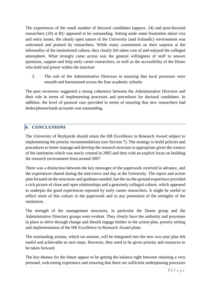The experiences of the small number of doctoral candidates (approx. 24) and post-doctoral researchers (10) at RU appeared to be outstanding. Setting aside some frustration about visa and entry issues, the clearly open nature of the University (and Icelandic) environment was welcomed and praised by researchers. While many commented on their surprise at the informality of the institutional culture, they clearly felt taken care of and enjoyed the collegial atmosphere. What strongly came across was the general willingness of staff to answer questions, support and help early career researchers, as well as the accessibility of the Deans who hold real power within the structure

3. The role of the Administrative Directors in ensuring that local processes were smooth and harmonised across the four academic schools

The peer reviewers suggested a strong coherence between the Administrative Directors and their role in terms of implementing processes and procedures for doctoral candidates. In addition, the level of pastoral care provided in terms of ensuring that new researchers had desks/phones/bank accounts was outstanding.

### **6. CONCLUSIONS**

The University of Reykjavik should retain the HR Excellence in Research Award subject to implementing the priority recommendations (see Section 7). The strategy to build policies and procedures to better manage and develop the research structure is appropriate given the context of the institution which was newly created in 2005 and then with an explicit focus on building the research environment from around 2007.

There was a distinction between the key messages of the paperwork received in advance, and the experiences shared during the interviews and day at the University. The report and action plan focused on the structures and guidance needed, but the on-the-ground experience provided a rich picture of close and open relationships and a genuinely collegial culture, which appeared to underpin the good experiences reported by early career researchers. It might be useful to reflect more of this culture in the paperwork and in any promotion of the strengths of the institution.

The strength of the management structures, in particular the Deans group and the Administrative Directors groups were evident. They clearly have the authority and processes in place to drive through change and should engage further in the action plan, priority setting and implementation of the HR Excellence in Research Award plans.

The outstanding actions, which we assume, will be integrated into the new two-year plan felt useful and achievable as next steps. However, they need to be given priority and resources to be taken forward.

The key themes for the future appear to be getting the balance right between retaining a very personal, welcoming experience and ensuring that there are sufficient underpinning processes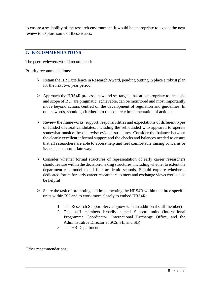to ensure a scalability of the research environment. It would be appropriate to expect the next review to explore some of these issues.

#### **7. RECOMMENDATIONS**

The peer reviewers would recommend:

Priority recommendations:

- $\triangleright$  Retain the HR Excellence in Research Award, pending putting in place a robust plan for the next two year period
- $\triangleright$  Approach the HRS4R process anew and set targets that are appropriate to the scale and scope of RU, are pragmatic, achievable, can be monitored and most importantly move beyond actions centred on the development of regulation and guidelines. In others words, should go further into the concrete implementation of actions.
- $\triangleright$  Review the frameworks, support, responsibilities and expectations of different types of funded doctoral candidates, including the self-funded who appeared to operate somewhat outside the otherwise evident structures. Consider the balance between the clearly excellent informal support and the checks and balances needed to ensure that all researchers are able to access help and feel comfortable raising concerns or issues in an appropriate way.
- $\triangleright$  Consider whether formal structures of representation of early career researchers should feature within the decision-making structures, including whether to extent the department rep model to all four academic schools. Should explore whether a dedicated forum for early career researchers to meet and exchange views would also be helpful
- $\triangleright$  Share the task of promoting and implementing the HRS4R within the three specific units within RU and to work more closely to embed HRS4R:
	- 1. The Research Support Service (now with an additional staff member)
	- 2. The staff members broadly named Support units (International Programme Coordinator, International Exchange Office, and the Administrative Director at SCS, SL, and SB)
	- 3. The HR Department.

Other recommendations: